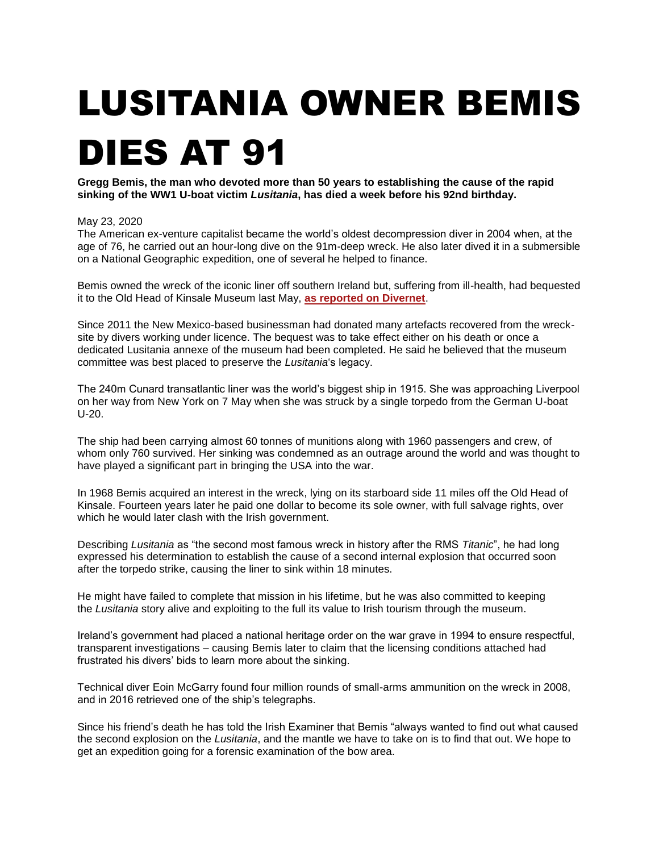## LUSITANIA OWNER BEMIS

## DIES AT 91

**Gregg Bemis, the man who devoted more than 50 years to establishing the cause of the rapid sinking of the WW1 U-boat victim** *Lusitania***, has died a week before his 92nd birthday.**

## May 23, 2020

The American ex-venture capitalist became the world's oldest decompression diver in 2004 when, at the age of 76, he carried out an hour-long dive on the 91m-deep wreck. He also later dived it in a submersible on a National Geographic expedition, one of several he helped to finance.

Bemis owned the wreck of the iconic liner off southern Ireland but, suffering from ill-health, had bequested it to the Old Head of Kinsale Museum last May, **[as reported on Divernet](https://divernet.com/2019/05/08/lusitania-owner-gifts-wreck-to-museum/)**.

Since 2011 the New Mexico-based businessman had donated many artefacts recovered from the wrecksite by divers working under licence. The bequest was to take effect either on his death or once a dedicated Lusitania annexe of the museum had been completed. He said he believed that the museum committee was best placed to preserve the *Lusitania*'s legacy.

The 240m Cunard transatlantic liner was the world's biggest ship in 1915. She was approaching Liverpool on her way from New York on 7 May when she was struck by a single torpedo from the German U-boat U-20.

The ship had been carrying almost 60 tonnes of munitions along with 1960 passengers and crew, of whom only 760 survived. Her sinking was condemned as an outrage around the world and was thought to have played a significant part in bringing the USA into the war.

In 1968 Bemis acquired an interest in the wreck, lying on its starboard side 11 miles off the Old Head of Kinsale. Fourteen years later he paid one dollar to become its sole owner, with full salvage rights, over which he would later clash with the Irish government.

Describing *Lusitania* as "the second most famous wreck in history after the RMS *Titanic*", he had long expressed his determination to establish the cause of a second internal explosion that occurred soon after the torpedo strike, causing the liner to sink within 18 minutes.

He might have failed to complete that mission in his lifetime, but he was also committed to keeping the *Lusitania* story alive and exploiting to the full its value to Irish tourism through the museum.

Ireland's government had placed a national heritage order on the war grave in 1994 to ensure respectful, transparent investigations – causing Bemis later to claim that the licensing conditions attached had frustrated his divers' bids to learn more about the sinking.

Technical diver Eoin McGarry found four million rounds of small-arms ammunition on the wreck in 2008, and in 2016 retrieved one of the ship's telegraphs.

Since his friend's death he has told the Irish Examiner that Bemis "always wanted to find out what caused the second explosion on the *Lusitania*, and the mantle we have to take on is to find that out. We hope to get an expedition going for a forensic examination of the bow area.